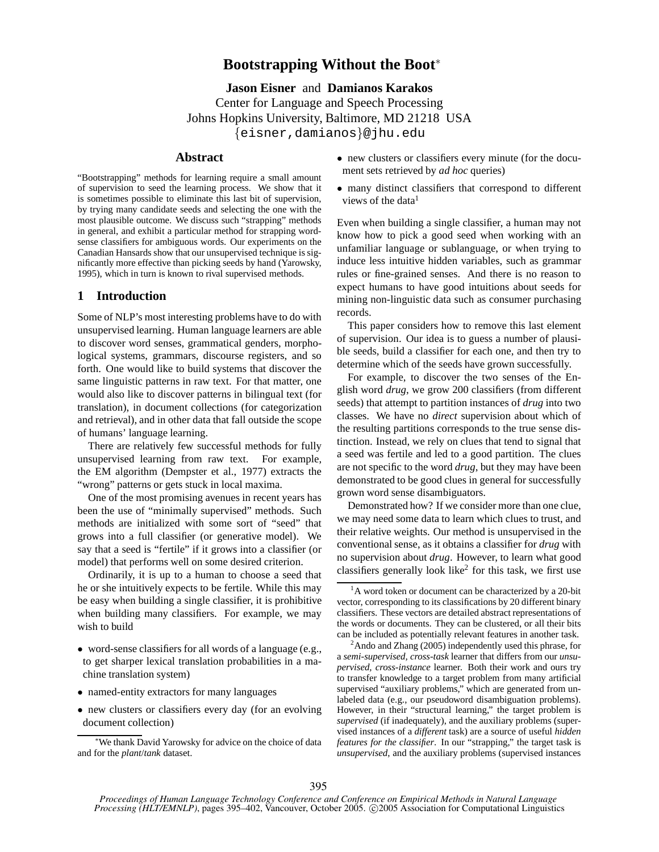# **Bootstrapping Without the Boot**<sup>∗</sup>

**Jason Eisner** and **Damianos Karakos** Center for Language and Speech Processing Johns Hopkins University, Baltimore, MD 21218 USA {eisner,damianos}@jhu.edu

# **Abstract**

"Bootstrapping" methods for learning require a small amount of supervision to seed the learning process. We show that it is sometimes possible to eliminate this last bit of supervision, by trying many candidate seeds and selecting the one with the most plausible outcome. We discuss such "strapping" methods in general, and exhibit a particular method for strapping wordsense classifiers for ambiguous words. Our experiments on the Canadian Hansards show that our unsupervised technique is significantly more effective than picking seeds by hand (Yarowsky, 1995), which in turn is known to rival supervised methods.

# **1 Introduction**

Some of NLP's most interesting problems have to do with unsupervised learning. Human language learners are able to discover word senses, grammatical genders, morphological systems, grammars, discourse registers, and so forth. One would like to build systems that discover the same linguistic patterns in raw text. For that matter, one would also like to discover patterns in bilingual text (for translation), in document collections (for categorization and retrieval), and in other data that fall outside the scope of humans' language learning.

There are relatively few successful methods for fully unsupervised learning from raw text. For example, the EM algorithm (Dempster et al., 1977) extracts the "wrong" patterns or gets stuck in local maxima.

One of the most promising avenues in recent years has been the use of "minimally supervised" methods. Such methods are initialized with some sort of "seed" that grows into a full classifier (or generative model). We say that a seed is "fertile" if it grows into a classifier (or model) that performs well on some desired criterion.

Ordinarily, it is up to a human to choose a seed that he or she intuitively expects to be fertile. While this may be easy when building a single classifier, it is prohibitive when building many classifiers. For example, we may wish to build

- word-sense classifiers for all words of a language (e.g., to get sharper lexical translation probabilities in a machine translation system)
- named-entity extractors for many languages
- new clusters or classifiers every day (for an evolving document collection)
- new clusters or classifiers every minute (for the document sets retrieved by *ad hoc* queries)
- many distinct classifiers that correspond to different views of the data<sup>1</sup>

Even when building a single classifier, a human may not know how to pick a good seed when working with an unfamiliar language or sublanguage, or when trying to induce less intuitive hidden variables, such as grammar rules or fine-grained senses. And there is no reason to expect humans to have good intuitions about seeds for mining non-linguistic data such as consumer purchasing records.

This paper considers how to remove this last element of supervision. Our idea is to guess a number of plausible seeds, build a classifier for each one, and then try to determine which of the seeds have grown successfully.

For example, to discover the two senses of the English word *drug*, we grow 200 classifiers (from different seeds) that attempt to partition instances of *drug* into two classes. We have no *direct* supervision about which of the resulting partitions corresponds to the true sense distinction. Instead, we rely on clues that tend to signal that a seed was fertile and led to a good partition. The clues are not specific to the word *drug*, but they may have been demonstrated to be good clues in general for successfully grown word sense disambiguators.

Demonstrated how? If we consider more than one clue, we may need some data to learn which clues to trust, and their relative weights. Our method is unsupervised in the conventional sense, as it obtains a classifier for *drug* with no supervision about *drug*. However, to learn what good classifiers generally look like<sup>2</sup> for this task, we first use

<sup>∗</sup>We thank David Yarowsky for advice on the choice of data and for the *plant*/*tank* dataset.

 $1<sup>1</sup>A$  word token or document can be characterized by a 20-bit vector, corresponding to its classifications by 20 different binary classifiers. These vectors are detailed abstract representations of the words or documents. They can be clustered, or all their bits can be included as potentially relevant features in another task.

 $2A$ ndo and Zhang (2005) independently used this phrase, for a *semi-supervised, cross-task* learner that differs from our *unsupervised, cross-instance* learner. Both their work and ours try to transfer knowledge to a target problem from many artificial supervised "auxiliary problems," which are generated from unlabeled data (e.g., our pseudoword disambiguation problems). However, in their "structural learning," the target problem is *supervised* (if inadequately), and the auxiliary problems (supervised instances of a *different* task) are a source of useful *hidden features for the classifier*. In our "strapping," the target task is *unsupervised*, and the auxiliary problems (supervised instances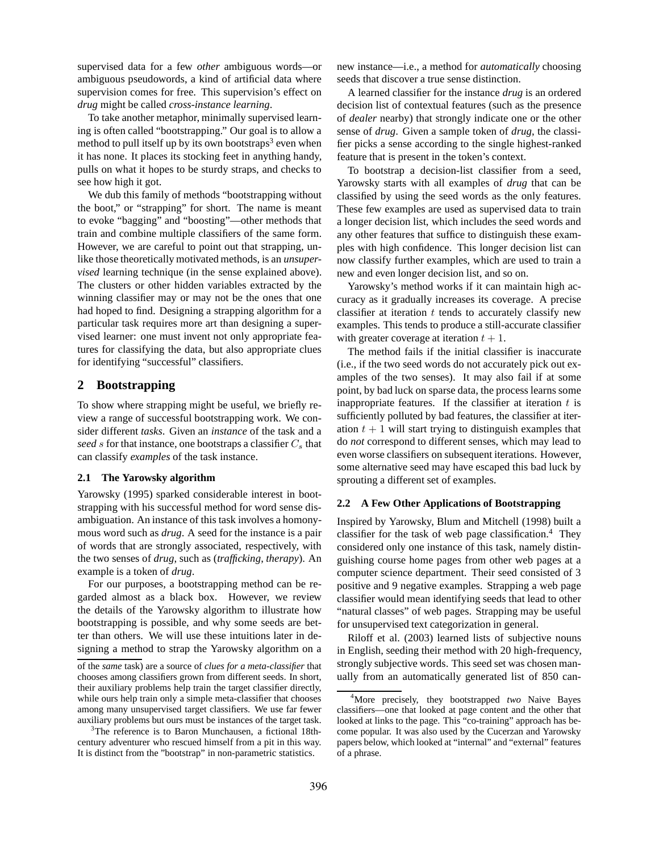supervised data for a few *other* ambiguous words—or ambiguous pseudowords, a kind of artificial data where supervision comes for free. This supervision's effect on *drug* might be called *cross-instance learning*.

To take another metaphor, minimally supervised learning is often called "bootstrapping." Our goal is to allow a method to pull itself up by its own bootstraps<sup>3</sup> even when it has none. It places its stocking feet in anything handy, pulls on what it hopes to be sturdy straps, and checks to see how high it got.

We dub this family of methods "bootstrapping without the boot," or "strapping" for short. The name is meant to evoke "bagging" and "boosting"—other methods that train and combine multiple classifiers of the same form. However, we are careful to point out that strapping, unlike those theoretically motivated methods, is an *unsupervised* learning technique (in the sense explained above). The clusters or other hidden variables extracted by the winning classifier may or may not be the ones that one had hoped to find. Designing a strapping algorithm for a particular task requires more art than designing a supervised learner: one must invent not only appropriate features for classifying the data, but also appropriate clues for identifying "successful" classifiers.

### **2 Bootstrapping**

To show where strapping might be useful, we briefly review a range of successful bootstrapping work. We consider different *tasks*. Given an *instance* of the task and a seed s for that instance, one bootstraps a classifier  $C_s$  that can classify *examples* of the task instance.

### **2.1 The Yarowsky algorithm**

Yarowsky (1995) sparked considerable interest in bootstrapping with his successful method for word sense disambiguation. An instance of this task involves a homonymous word such as *drug*. A seed for the instance is a pair of words that are strongly associated, respectively, with the two senses of *drug*, such as (*trafficking*, *therapy*). An example is a token of *drug*.

For our purposes, a bootstrapping method can be regarded almost as a black box. However, we review the details of the Yarowsky algorithm to illustrate how bootstrapping is possible, and why some seeds are better than others. We will use these intuitions later in designing a method to strap the Yarowsky algorithm on a new instance—i.e., a method for *automatically* choosing seeds that discover a true sense distinction.

A learned classifier for the instance *drug* is an ordered decision list of contextual features (such as the presence of *dealer* nearby) that strongly indicate one or the other sense of *drug*. Given a sample token of *drug*, the classifier picks a sense according to the single highest-ranked feature that is present in the token's context.

To bootstrap a decision-list classifier from a seed, Yarowsky starts with all examples of *drug* that can be classified by using the seed words as the only features. These few examples are used as supervised data to train a longer decision list, which includes the seed words and any other features that suffice to distinguish these examples with high confidence. This longer decision list can now classify further examples, which are used to train a new and even longer decision list, and so on.

Yarowsky's method works if it can maintain high accuracy as it gradually increases its coverage. A precise classifier at iteration  $t$  tends to accurately classify new examples. This tends to produce a still-accurate classifier with greater coverage at iteration  $t + 1$ .

The method fails if the initial classifier is inaccurate (i.e., if the two seed words do not accurately pick out examples of the two senses). It may also fail if at some point, by bad luck on sparse data, the process learns some inappropriate features. If the classifier at iteration  $t$  is sufficiently polluted by bad features, the classifier at iteration  $t + 1$  will start trying to distinguish examples that do *not* correspond to different senses, which may lead to even worse classifiers on subsequent iterations. However, some alternative seed may have escaped this bad luck by sprouting a different set of examples.

### **2.2 A Few Other Applications of Bootstrapping**

Inspired by Yarowsky, Blum and Mitchell (1998) built a classifier for the task of web page classification.<sup>4</sup> They considered only one instance of this task, namely distinguishing course home pages from other web pages at a computer science department. Their seed consisted of 3 positive and 9 negative examples. Strapping a web page classifier would mean identifying seeds that lead to other "natural classes" of web pages. Strapping may be useful for unsupervised text categorization in general.

Riloff et al. (2003) learned lists of subjective nouns in English, seeding their method with 20 high-frequency, strongly subjective words. This seed set was chosen manually from an automatically generated list of 850 can-

of the *same* task) are a source of *clues for a meta-classifier* that chooses among classifiers grown from different seeds. In short, their auxiliary problems help train the target classifier directly, while ours help train only a simple meta-classifier that chooses among many unsupervised target classifiers. We use far fewer auxiliary problems but ours must be instances of the target task.

<sup>&</sup>lt;sup>3</sup>The reference is to Baron Munchausen, a fictional 18thcentury adventurer who rescued himself from a pit in this way. It is distinct from the "bootstrap" in non-parametric statistics.

<sup>4</sup>More precisely, they bootstrapped *two* Naive Bayes classifiers—one that looked at page content and the other that looked at links to the page. This "co-training" approach has become popular. It was also used by the Cucerzan and Yarowsky papers below, which looked at "internal" and "external" features of a phrase.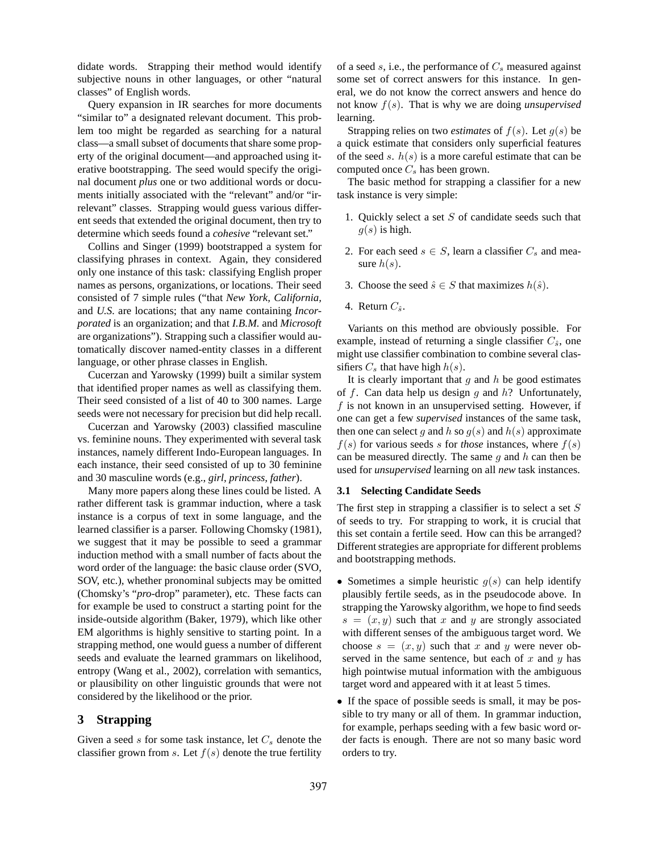didate words. Strapping their method would identify subjective nouns in other languages, or other "natural classes" of English words.

Query expansion in IR searches for more documents "similar to" a designated relevant document. This problem too might be regarded as searching for a natural class—a small subset of documents that share some property of the original document—and approached using iterative bootstrapping. The seed would specify the original document *plus* one or two additional words or documents initially associated with the "relevant" and/or "irrelevant" classes. Strapping would guess various different seeds that extended the original document, then try to determine which seeds found a *cohesive* "relevant set."

Collins and Singer (1999) bootstrapped a system for classifying phrases in context. Again, they considered only one instance of this task: classifying English proper names as persons, organizations, or locations. Their seed consisted of 7 simple rules ("that *New York, California,* and *U.S.* are locations; that any name containing *Incorporated* is an organization; and that *I.B.M.* and *Microsoft* are organizations"). Strapping such a classifier would automatically discover named-entity classes in a different language, or other phrase classes in English.

Cucerzan and Yarowsky (1999) built a similar system that identified proper names as well as classifying them. Their seed consisted of a list of 40 to 300 names. Large seeds were not necessary for precision but did help recall.

Cucerzan and Yarowsky (2003) classified masculine vs. feminine nouns. They experimented with several task instances, namely different Indo-European languages. In each instance, their seed consisted of up to 30 feminine and 30 masculine words (e.g., *girl, princess, father*).

Many more papers along these lines could be listed. A rather different task is grammar induction, where a task instance is a corpus of text in some language, and the learned classifier is a parser. Following Chomsky (1981), we suggest that it may be possible to seed a grammar induction method with a small number of facts about the word order of the language: the basic clause order (SVO, SOV, etc.), whether pronominal subjects may be omitted (Chomsky's "*pro*-drop" parameter), etc. These facts can for example be used to construct a starting point for the inside-outside algorithm (Baker, 1979), which like other EM algorithms is highly sensitive to starting point. In a strapping method, one would guess a number of different seeds and evaluate the learned grammars on likelihood, entropy (Wang et al., 2002), correlation with semantics, or plausibility on other linguistic grounds that were not considered by the likelihood or the prior.

# **3 Strapping**

Given a seed  $s$  for some task instance, let  $C_s$  denote the classifier grown from s. Let  $f(s)$  denote the true fertility of a seed  $s$ , i.e., the performance of  $C_s$  measured against some set of correct answers for this instance. In general, we do not know the correct answers and hence do not know f(s). That is why we are doing *unsupervised* learning.

Strapping relies on two *estimates* of  $f(s)$ . Let  $g(s)$  be a quick estimate that considers only superficial features of the seed s.  $h(s)$  is a more careful estimate that can be computed once  $C_s$  has been grown.

The basic method for strapping a classifier for a new task instance is very simple:

- 1. Quickly select a set  $S$  of candidate seeds such that  $q(s)$  is high.
- 2. For each seed  $s \in S$ , learn a classifier  $C_s$  and measure  $h(s)$ .
- 3. Choose the seed  $\hat{s} \in S$  that maximizes  $h(\hat{s})$ .
- 4. Return  $C_{\hat{s}}$ .

Variants on this method are obviously possible. For example, instead of returning a single classifier  $C_{\hat{s}}$ , one might use classifier combination to combine several classifiers  $C_s$  that have high  $h(s)$ .

It is clearly important that q and  $h$  be good estimates of  $f$ . Can data help us design  $g$  and  $h$ ? Unfortunately, f is not known in an unsupervised setting. However, if one can get a few *supervised* instances of the same task, then one can select g and h so  $g(s)$  and  $h(s)$  approximate  $f(s)$  for various seeds s for *those* instances, where  $f(s)$ can be measured directly. The same  $g$  and  $h$  can then be used for *unsupervised* learning on all *new* task instances.

#### **3.1 Selecting Candidate Seeds**

The first step in strapping a classifier is to select a set  $S$ of seeds to try. For strapping to work, it is crucial that this set contain a fertile seed. How can this be arranged? Different strategies are appropriate for different problems and bootstrapping methods.

- Sometimes a simple heuristic  $q(s)$  can help identify plausibly fertile seeds, as in the pseudocode above. In strapping the Yarowsky algorithm, we hope to find seeds  $s = (x, y)$  such that x and y are strongly associated with different senses of the ambiguous target word. We choose  $s = (x, y)$  such that x and y were never observed in the same sentence, but each of  $x$  and  $y$  has high pointwise mutual information with the ambiguous target word and appeared with it at least 5 times.
- If the space of possible seeds is small, it may be possible to try many or all of them. In grammar induction, for example, perhaps seeding with a few basic word order facts is enough. There are not so many basic word orders to try.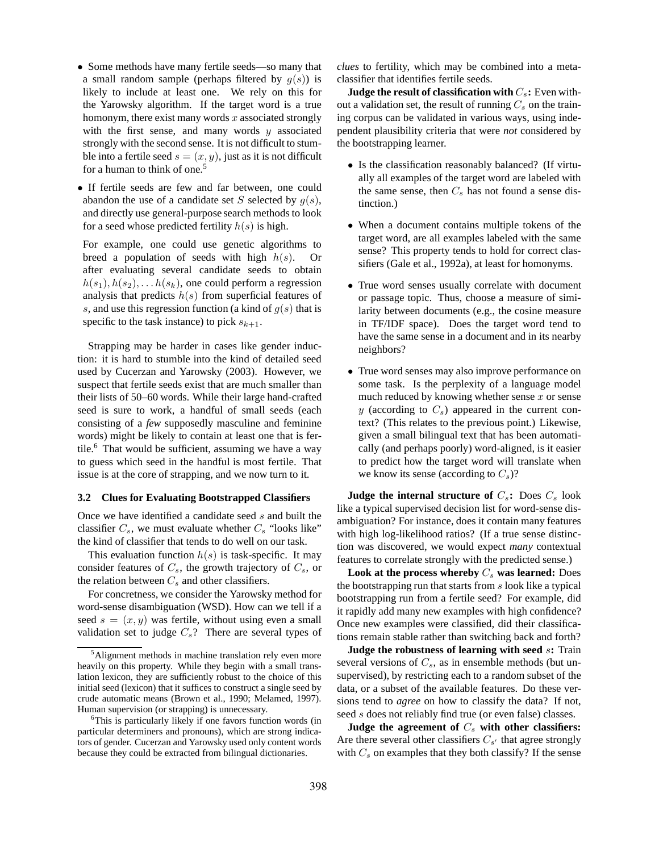- Some methods have many fertile seeds—so many that a small random sample (perhaps filtered by  $g(s)$ ) is likely to include at least one. We rely on this for the Yarowsky algorithm. If the target word is a true homonym, there exist many words  $x$  associated strongly with the first sense, and many words  $y$  associated strongly with the second sense. It is not difficult to stumble into a fertile seed  $s = (x, y)$ , just as it is not difficult for a human to think of one.<sup>5</sup>
- If fertile seeds are few and far between, one could abandon the use of a candidate set S selected by  $g(s)$ , and directly use general-purpose search methods to look for a seed whose predicted fertility  $h(s)$  is high.

For example, one could use genetic algorithms to breed a population of seeds with high  $h(s)$ . Or after evaluating several candidate seeds to obtain  $h(s_1), h(s_2), \ldots, h(s_k)$ , one could perform a regression analysis that predicts  $h(s)$  from superficial features of s, and use this regression function (a kind of  $q(s)$ ) that is specific to the task instance) to pick  $s_{k+1}$ .

Strapping may be harder in cases like gender induction: it is hard to stumble into the kind of detailed seed used by Cucerzan and Yarowsky (2003). However, we suspect that fertile seeds exist that are much smaller than their lists of 50–60 words. While their large hand-crafted seed is sure to work, a handful of small seeds (each consisting of a *few* supposedly masculine and feminine words) might be likely to contain at least one that is fertile. $6$  That would be sufficient, assuming we have a way to guess which seed in the handful is most fertile. That issue is at the core of strapping, and we now turn to it.

### **3.2 Clues for Evaluating Bootstrapped Classifiers**

Once we have identified a candidate seed s and built the classifier  $C_s$ , we must evaluate whether  $C_s$  "looks like" the kind of classifier that tends to do well on our task.

This evaluation function  $h(s)$  is task-specific. It may consider features of  $C_s$ , the growth trajectory of  $C_s$ , or the relation between  $C_s$  and other classifiers.

For concretness, we consider the Yarowsky method for word-sense disambiguation (WSD). How can we tell if a seed  $s = (x, y)$  was fertile, without using even a small validation set to judge  $C_s$ ? There are several types of *clues* to fertility, which may be combined into a metaclassifier that identifies fertile seeds.

**Judge the result of classification with**  $C_s$ **: Even with**out a validation set, the result of running  $C_s$  on the training corpus can be validated in various ways, using independent plausibility criteria that were *not* considered by the bootstrapping learner.

- Is the classification reasonably balanced? (If virtually all examples of the target word are labeled with the same sense, then  $C_s$  has not found a sense distinction.)
- When a document contains multiple tokens of the target word, are all examples labeled with the same sense? This property tends to hold for correct classifiers (Gale et al., 1992a), at least for homonyms.
- True word senses usually correlate with document or passage topic. Thus, choose a measure of similarity between documents (e.g., the cosine measure in TF/IDF space). Does the target word tend to have the same sense in a document and in its nearby neighbors?
- True word senses may also improve performance on some task. Is the perplexity of a language model much reduced by knowing whether sense  $x$  or sense y (according to  $C_s$ ) appeared in the current context? (This relates to the previous point.) Likewise, given a small bilingual text that has been automatically (and perhaps poorly) word-aligned, is it easier to predict how the target word will translate when we know its sense (according to  $C_s$ )?

**Judge the internal structure of**  $C_s$ **: Does**  $C_s$  **look** like a typical supervised decision list for word-sense disambiguation? For instance, does it contain many features with high log-likelihood ratios? (If a true sense distinction was discovered, we would expect *many* contextual features to correlate strongly with the predicted sense.)

**Look at the process whereby**  $C_s$  **was learned:** Does the bootstrapping run that starts from s look like a typical bootstrapping run from a fertile seed? For example, did it rapidly add many new examples with high confidence? Once new examples were classified, did their classifications remain stable rather than switching back and forth?

**Judge the robustness of learning with seed** s**:** Train several versions of  $C_s$ , as in ensemble methods (but unsupervised), by restricting each to a random subset of the data, or a subset of the available features. Do these versions tend to *agree* on how to classify the data? If not, seed s does not reliably find true (or even false) classes.

Judge the agreement of  $C_s$  with other classifiers: Are there several other classifiers  $C_{s'}$  that agree strongly with  $C_s$  on examples that they both classify? If the sense

<sup>&</sup>lt;sup>5</sup>Alignment methods in machine translation rely even more heavily on this property. While they begin with a small translation lexicon, they are sufficiently robust to the choice of this initial seed (lexicon) that it suffices to construct a single seed by crude automatic means (Brown et al., 1990; Melamed, 1997). Human supervision (or strapping) is unnecessary.

<sup>&</sup>lt;sup>6</sup>This is particularly likely if one favors function words (in particular determiners and pronouns), which are strong indicators of gender. Cucerzan and Yarowsky used only content words because they could be extracted from bilingual dictionaries.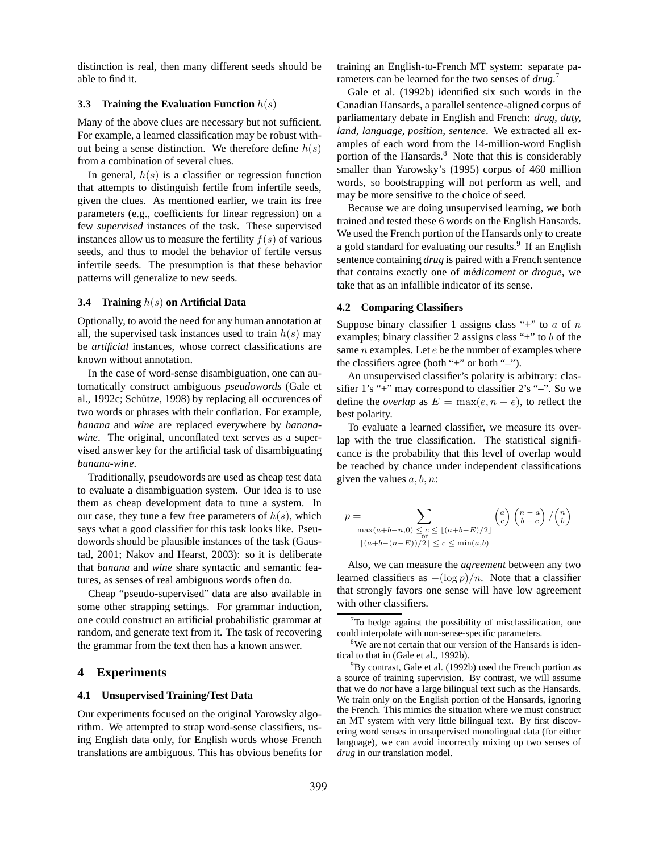distinction is real, then many different seeds should be able to find it.

### **3.3 Training the Evaluation Function** h(s)

Many of the above clues are necessary but not sufficient. For example, a learned classification may be robust without being a sense distinction. We therefore define  $h(s)$ from a combination of several clues.

In general,  $h(s)$  is a classifier or regression function that attempts to distinguish fertile from infertile seeds, given the clues. As mentioned earlier, we train its free parameters (e.g., coefficients for linear regression) on a few *supervised* instances of the task. These supervised instances allow us to measure the fertility  $f(s)$  of various seeds, and thus to model the behavior of fertile versus infertile seeds. The presumption is that these behavior patterns will generalize to new seeds.

#### **3.4 Training** h(s) **on Artificial Data**

Optionally, to avoid the need for any human annotation at all, the supervised task instances used to train  $h(s)$  may be *artificial* instances, whose correct classifications are known without annotation.

In the case of word-sense disambiguation, one can automatically construct ambiguous *pseudowords* (Gale et al., 1992c; Schütze, 1998) by replacing all occurences of two words or phrases with their conflation. For example, *banana* and *wine* are replaced everywhere by *bananawine*. The original, unconflated text serves as a supervised answer key for the artificial task of disambiguating *banana-wine*.

Traditionally, pseudowords are used as cheap test data to evaluate a disambiguation system. Our idea is to use them as cheap development data to tune a system. In our case, they tune a few free parameters of  $h(s)$ , which says what a good classifier for this task looks like. Pseudowords should be plausible instances of the task (Gaustad, 2001; Nakov and Hearst, 2003): so it is deliberate that *banana* and *wine* share syntactic and semantic features, as senses of real ambiguous words often do.

Cheap "pseudo-supervised" data are also available in some other strapping settings. For grammar induction, one could construct an artificial probabilistic grammar at random, and generate text from it. The task of recovering the grammar from the text then has a known answer.

# **4 Experiments**

#### **4.1 Unsupervised Training/Test Data**

Our experiments focused on the original Yarowsky algorithm. We attempted to strap word-sense classifiers, using English data only, for English words whose French translations are ambiguous. This has obvious benefits for training an English-to-French MT system: separate parameters can be learned for the two senses of *drug*. 7

Gale et al. (1992b) identified six such words in the Canadian Hansards, a parallel sentence-aligned corpus of parliamentary debate in English and French: *drug, duty, land, language, position, sentence*. We extracted all examples of each word from the 14-million-word English portion of the Hansards. $8$  Note that this is considerably smaller than Yarowsky's (1995) corpus of 460 million words, so bootstrapping will not perform as well, and may be more sensitive to the choice of seed.

Because we are doing unsupervised learning, we both trained and tested these 6 words on the English Hansards. We used the French portion of the Hansards only to create a gold standard for evaluating our results.<sup>9</sup> If an English sentence containing *drug* is paired with a French sentence that contains exactly one of *médicament* or *drogue*, we take that as an infallible indicator of its sense.

#### **4.2 Comparing Classifiers**

Suppose binary classifier 1 assigns class "+" to  $a$  of  $n$ examples; binary classifier 2 assigns class "+" to  $b$  of the same  $n$  examples. Let  $e$  be the number of examples where the classifiers agree (both "+" or both "–").

An unsupervised classifier's polarity is arbitrary: classifier 1's "+" may correspond to classifier 2's "–". So we define the *overlap* as  $E = \max(e, n - e)$ , to reflect the best polarity.

To evaluate a learned classifier, we measure its overlap with the true classification. The statistical significance is the probability that this level of overlap would be reached by chance under independent classifications given the values  $a, b, n$ :

$$
p = \sum_{\substack{\max(a+b-n,0) \le c \le \lfloor (a+b-E)/2 \rfloor \\ \lceil (a+b-(n-E))/2 \rceil \le c \le \min(a,b)}} \binom{a}{c} \binom{n-a}{b-c} / \binom{n}{b}
$$

Also, we can measure the *agreement* between any two learned classifiers as  $-(\log p)/n$ . Note that a classifier that strongly favors one sense will have low agreement with other classifiers.

 $7$ To hedge against the possibility of misclassification, one could interpolate with non-sense-specific parameters.

<sup>&</sup>lt;sup>8</sup>We are not certain that our version of the Hansards is identical to that in (Gale et al., 1992b).

 $^{9}$ By contrast, Gale et al. (1992b) used the French portion as a source of training supervision. By contrast, we will assume that we do *not* have a large bilingual text such as the Hansards. We train only on the English portion of the Hansards, ignoring the French. This mimics the situation where we must construct an MT system with very little bilingual text. By first discovering word senses in unsupervised monolingual data (for either language), we can avoid incorrectly mixing up two senses of *drug* in our translation model.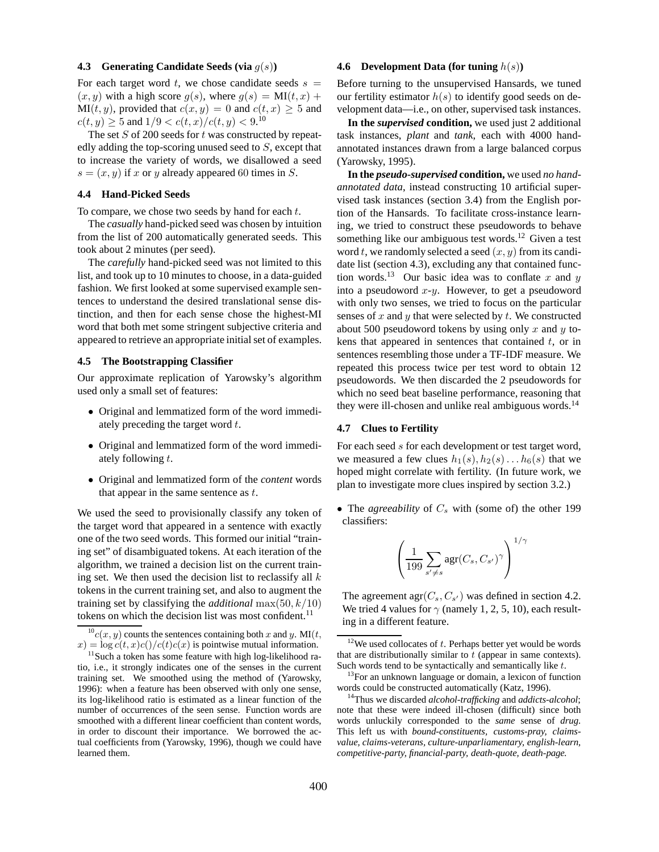#### **4.3 Generating Candidate Seeds (via** g(s)**)**

For each target word t, we chose candidate seeds  $s =$  $(x, y)$  with a high score  $q(s)$ , where  $q(s) = MI(t, x) +$  $MI(t, y)$ , provided that  $c(x, y) = 0$  and  $c(t, x) \ge 5$  and  $c(t, y) \ge 5$  and  $1/9 < c(t, x)/c(t, y) < 9.10$ 

The set  $S$  of 200 seeds for  $t$  was constructed by repeatedly adding the top-scoring unused seed to S, except that to increase the variety of words, we disallowed a seed  $s = (x, y)$  if x or y already appeared 60 times in S.

# **4.4 Hand-Picked Seeds**

To compare, we chose two seeds by hand for each  $t$ .

The *casually* hand-picked seed was chosen by intuition from the list of 200 automatically generated seeds. This took about 2 minutes (per seed).

The *carefully* hand-picked seed was not limited to this list, and took up to 10 minutes to choose, in a data-guided fashion. We first looked at some supervised example sentences to understand the desired translational sense distinction, and then for each sense chose the highest-MI word that both met some stringent subjective criteria and appeared to retrieve an appropriate initial set of examples.

### **4.5 The Bootstrapping Classifier**

Our approximate replication of Yarowsky's algorithm used only a small set of features:

- Original and lemmatized form of the word immediately preceding the target word  $t$ .
- Original and lemmatized form of the word immediately following t.
- Original and lemmatized form of the *content* words that appear in the same sentence as  $t$ .

We used the seed to provisionally classify any token of the target word that appeared in a sentence with exactly one of the two seed words. This formed our initial "training set" of disambiguated tokens. At each iteration of the algorithm, we trained a decision list on the current training set. We then used the decision list to reclassify all  $k$ tokens in the current training set, and also to augment the training set by classifying the *additional* max $(50, k/10)$ tokens on which the decision list was most confident.<sup>11</sup>

#### **4.6 Development Data (for tuning** h(s)**)**

Before turning to the unsupervised Hansards, we tuned our fertility estimator  $h(s)$  to identify good seeds on development data—i.e., on other, supervised task instances.

**In the** *supervised* **condition,** we used just 2 additional task instances, *plant* and *tank*, each with 4000 handannotated instances drawn from a large balanced corpus (Yarowsky, 1995).

**In the** *pseudo-supervised* **condition,** we used *no handannotated data*, instead constructing 10 artificial supervised task instances (section 3.4) from the English portion of the Hansards. To facilitate cross-instance learning, we tried to construct these pseudowords to behave something like our ambiguous test words.<sup>12</sup> Given a test word t, we randomly selected a seed  $(x, y)$  from its candidate list (section 4.3), excluding any that contained function words.<sup>13</sup> Our basic idea was to conflate x and y into a pseudoword  $x-y$ . However, to get a pseudoword with only two senses, we tried to focus on the particular senses of  $x$  and  $y$  that were selected by  $t$ . We constructed about 500 pseudoword tokens by using only x and y tokens that appeared in sentences that contained  $t$ , or in sentences resembling those under a TF-IDF measure. We repeated this process twice per test word to obtain 12 pseudowords. We then discarded the 2 pseudowords for which no seed beat baseline performance, reasoning that they were ill-chosen and unlike real ambiguous words.<sup>14</sup>

#### **4.7 Clues to Fertility**

For each seed s for each development or test target word, we measured a few clues  $h_1(s)$ ,  $h_2(s)$ ...  $h_6(s)$  that we hoped might correlate with fertility. (In future work, we plan to investigate more clues inspired by section 3.2.)

• The *agreeability* of  $C_s$  with (some of) the other 199 classifiers:

$$
\left(\frac{1}{199}\sum_{s'\neq s} \arg(C_s, C_{s'})^{\gamma}\right)^{1/\gamma}
$$

The agreement  $\arg(C_s, C_{s'})$  was defined in section 4.2. We tried 4 values for  $\gamma$  (namely 1, 2, 5, 10), each resulting in a different feature.

 $^{10}c(x, y)$  counts the sentences containing both x and y. MI(t,  $x) = \log c(t, x)c(t)/c(t)c(x)$  is pointwise mutual information.

 $11$ Such a token has some feature with high log-likelihood ratio, i.e., it strongly indicates one of the senses in the current training set. We smoothed using the method of (Yarowsky, 1996): when a feature has been observed with only one sense, its log-likelihood ratio is estimated as a linear function of the number of occurrences of the seen sense. Function words are smoothed with a different linear coefficient than content words, in order to discount their importance. We borrowed the actual coefficients from (Yarowsky, 1996), though we could have learned them.

 $12$ We used collocates of  $t$ . Perhaps better yet would be words that are distributionally similar to  $t$  (appear in same contexts). Such words tend to be syntactically and semantically like t.

<sup>&</sup>lt;sup>13</sup>For an unknown language or domain, a lexicon of function words could be constructed automatically (Katz, 1996).

<sup>14</sup>Thus we discarded *alcohol-trafficking* and *addicts-alcohol*; note that these were indeed ill-chosen (difficult) since both words unluckily corresponded to the *same* sense of *drug*. This left us with *bound-constituents, customs-pray, claimsvalue, claims-veterans, culture-unparliamentary, english-learn, competitive-party, financial-party, death-quote, death-page.*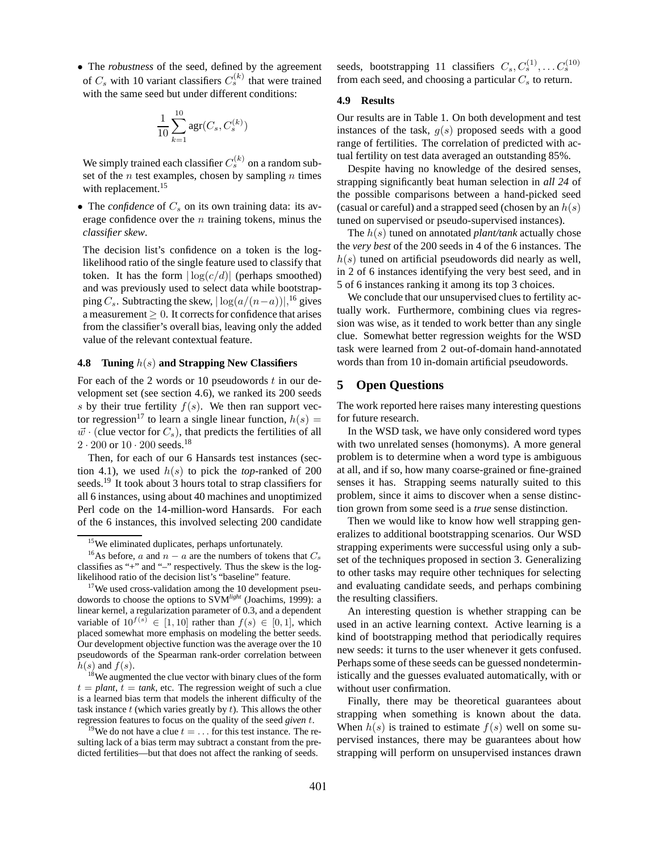• The *robustness* of the seed, defined by the agreement of  $C_s$  with 10 variant classifiers  $C_s^{(k)}$  that were trained with the same seed but under different conditions:

$$
\frac{1}{10} \sum_{k=1}^{10} \text{agr}(C_s, C_s^{(k)})
$$

We simply trained each classifier  $C_s^{(k)}$  on a random subset of the *n* test examples, chosen by sampling *n* times with replacement.<sup>15</sup>

• The *confidence* of  $C_s$  on its own training data: its average confidence over the  $n$  training tokens, minus the *classifier skew*.

The decision list's confidence on a token is the loglikelihood ratio of the single feature used to classify that token. It has the form  $|\log(c/d)|$  (perhaps smoothed) and was previously used to select data while bootstrapping  $C_s$ . Subtracting the skew,  $|\log(a/(n-a))|$ ,<sup>16</sup> gives a measurement  $\geq 0$ . It corrects for confidence that arises from the classifier's overall bias, leaving only the added value of the relevant contextual feature.

# **4.8 Tuning** h(s) **and Strapping New Classifiers**

For each of the 2 words or 10 pseudowords  $t$  in our development set (see section 4.6), we ranked its 200 seeds s by their true fertility  $f(s)$ . We then ran support vector regression<sup>17</sup> to learn a single linear function,  $h(s)$  =  $\vec{w}$  · (clue vector for  $C_s$ ), that predicts the fertilities of all  $2 \cdot 200$  or  $10 \cdot 200$  seeds.<sup>18</sup>

Then, for each of our 6 Hansards test instances (section 4.1), we used  $h(s)$  to pick the *top*-ranked of 200 seeds.<sup>19</sup> It took about 3 hours total to strap classifiers for all 6 instances, using about 40 machines and unoptimized Perl code on the 14-million-word Hansards. For each of the 6 instances, this involved selecting 200 candidate

seeds, bootstrapping 11 classifiers  $C_s, C_s^{(1)}, \ldots C_s^{(10)}$ from each seed, and choosing a particular  $C_s$  to return.

### **4.9 Results**

Our results are in Table 1. On both development and test instances of the task,  $g(s)$  proposed seeds with a good range of fertilities. The correlation of predicted with actual fertility on test data averaged an outstanding 85%.

Despite having no knowledge of the desired senses, strapping significantly beat human selection in *all 24* of the possible comparisons between a hand-picked seed (casual or careful) and a strapped seed (chosen by an  $h(s)$ ) tuned on supervised or pseudo-supervised instances).

The h(s) tuned on annotated *plant/tank* actually chose the *very best* of the 200 seeds in 4 of the 6 instances. The  $h(s)$  tuned on artificial pseudowords did nearly as well, in 2 of 6 instances identifying the very best seed, and in 5 of 6 instances ranking it among its top 3 choices.

We conclude that our unsupervised clues to fertility actually work. Furthermore, combining clues via regression was wise, as it tended to work better than any single clue. Somewhat better regression weights for the WSD task were learned from 2 out-of-domain hand-annotated words than from 10 in-domain artificial pseudowords.

# **5 Open Questions**

The work reported here raises many interesting questions for future research.

In the WSD task, we have only considered word types with two unrelated senses (homonyms). A more general problem is to determine when a word type is ambiguous at all, and if so, how many coarse-grained or fine-grained senses it has. Strapping seems naturally suited to this problem, since it aims to discover when a sense distinction grown from some seed is a *true* sense distinction.

Then we would like to know how well strapping generalizes to additional bootstrapping scenarios. Our WSD strapping experiments were successful using only a subset of the techniques proposed in section 3. Generalizing to other tasks may require other techniques for selecting and evaluating candidate seeds, and perhaps combining the resulting classifiers.

An interesting question is whether strapping can be used in an active learning context. Active learning is a kind of bootstrapping method that periodically requires new seeds: it turns to the user whenever it gets confused. Perhaps some of these seeds can be guessed nondeterministically and the guesses evaluated automatically, with or without user confirmation.

Finally, there may be theoretical guarantees about strapping when something is known about the data. When  $h(s)$  is trained to estimate  $f(s)$  well on some supervised instances, there may be guarantees about how strapping will perform on unsupervised instances drawn

<sup>&</sup>lt;sup>15</sup>We eliminated duplicates, perhaps unfortunately.

<sup>&</sup>lt;sup>16</sup>As before, *a* and  $n - a$  are the numbers of tokens that  $C_s$ classifies as "+" and "–" respectively. Thus the skew is the loglikelihood ratio of the decision list's "baseline" feature.

<sup>&</sup>lt;sup>17</sup>We used cross-validation among the 10 development pseudowords to choose the options to SVM*light* (Joachims, 1999): a linear kernel, a regularization parameter of 0.3, and a dependent variable of  $10^{f(s)} \in [1, 10]$  rather than  $f(s) \in [0, 1]$ , which placed somewhat more emphasis on modeling the better seeds. Our development objective function was the average over the 10 pseudowords of the Spearman rank-order correlation between  $h(s)$  and  $f(s)$ .

We augmented the clue vector with binary clues of the form  $t = plant, t = tank, etc.$  The regression weight of such a clue is a learned bias term that models the inherent difficulty of the task instance  $t$  (which varies greatly by  $t$ ). This allows the other regression features to focus on the quality of the seed *given* t.

<sup>&</sup>lt;sup>19</sup>We do not have a clue  $t = \ldots$  for this test instance. The resulting lack of a bias term may subtract a constant from the predicted fertilities—but that does not affect the ranking of seeds.